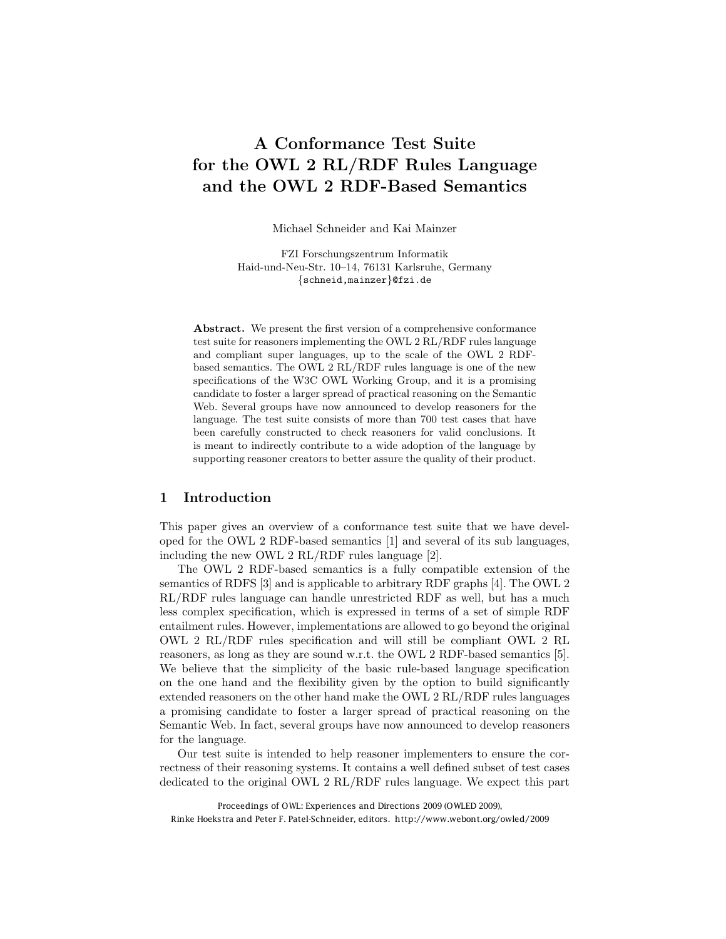# A Conformance Test Suite for the OWL 2 RL/RDF Rules Language and the OWL 2 RDF-Based Semantics

Michael Schneider and Kai Mainzer

FZI Forschungszentrum Informatik Haid-und-Neu-Str. 10–14, 76131 Karlsruhe, Germany *{*schneid,mainzer*}*@fzi.de

Abstract. We present the first version of a comprehensive conformance test suite for reasoners implementing the OWL 2 RL/RDF rules language and compliant super languages, up to the scale of the OWL 2 RDFbased semantics. The OWL 2 RL/RDF rules language is one of the new specifications of the W3C OWL Working Group, and it is a promising candidate to foster a larger spread of practical reasoning on the Semantic Web. Several groups have now announced to develop reasoners for the language. The test suite consists of more than 700 test cases that have been carefully constructed to check reasoners for valid conclusions. It is meant to indirectly contribute to a wide adoption of the language by supporting reasoner creators to better assure the quality of their product.

#### 1 Introduction

This paper gives an overview of a conformance test suite that we have developed for the OWL 2 RDF-based semantics [1] and several of its sub languages, including the new OWL 2 RL/RDF rules language [2].

The OWL 2 RDF-based semantics is a fully compatible extension of the semantics of RDFS [3] and is applicable to arbitrary RDF graphs [4]. The OWL 2 RL/RDF rules language can handle unrestricted RDF as well, but has a much less complex specification, which is expressed in terms of a set of simple RDF entailment rules. However, implementations are allowed to go beyond the original OWL 2 RL/RDF rules specification and will still be compliant OWL 2 RL reasoners, as long as they are sound w.r.t. the OWL 2 RDF-based semantics [5]. We believe that the simplicity of the basic rule-based language specification on the one hand and the flexibility given by the option to build significantly extended reasoners on the other hand make the OWL 2 RL/RDF rules languages a promising candidate to foster a larger spread of practical reasoning on the Semantic Web. In fact, several groups have now announced to develop reasoners for the language.

Our test suite is intended to help reasoner implementers to ensure the correctness of their reasoning systems. It contains a well defined subset of test cases dedicated to the original OWL 2 RL/RDF rules language. We expect this part

Proceedings of OWL: Experiences and Directions 2009 (OWLED 2009), Rinke Hoekstra and Peter F. Patel-Schneider, editors. http://www.webont.org/owled/2009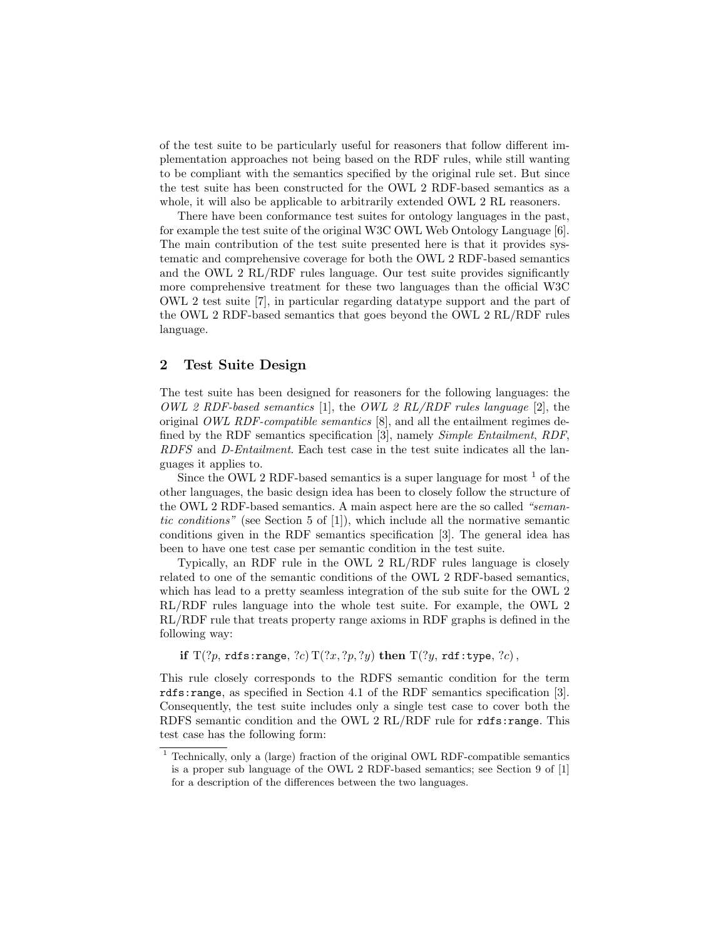of the test suite to be particularly useful for reasoners that follow different implementation approaches not being based on the RDF rules, while still wanting to be compliant with the semantics specified by the original rule set. But since the test suite has been constructed for the OWL 2 RDF-based semantics as a whole, it will also be applicable to arbitrarily extended OWL 2 RL reasoners.

There have been conformance test suites for ontology languages in the past, for example the test suite of the original W3C OWL Web Ontology Language [6]. The main contribution of the test suite presented here is that it provides systematic and comprehensive coverage for both the OWL 2 RDF-based semantics and the OWL 2 RL/RDF rules language. Our test suite provides significantly more comprehensive treatment for these two languages than the official W3C OWL 2 test suite [7], in particular regarding datatype support and the part of the OWL 2 RDF-based semantics that goes beyond the OWL 2 RL/RDF rules language.

### 2 Test Suite Design

The test suite has been designed for reasoners for the following languages: the *OWL 2 RDF-based semantics* [1], the *OWL 2 RL/RDF rules language* [2], the original *OWL RDF-compatible semantics* [8], and all the entailment regimes defined by the RDF semantics specification [3], namely *Simple Entailment*, *RDF*, *RDFS* and *D-Entailment*. Each test case in the test suite indicates all the languages it applies to.

Since the OWL 2 RDF-based semantics is a super language for most  $<sup>1</sup>$  of the</sup> other languages, the basic design idea has been to closely follow the structure of the OWL 2 RDF-based semantics. A main aspect here are the so called *"semantic conditions"* (see Section 5 of [1]), which include all the normative semantic conditions given in the RDF semantics specification [3]. The general idea has been to have one test case per semantic condition in the test suite.

Typically, an RDF rule in the OWL 2 RL/RDF rules language is closely related to one of the semantic conditions of the OWL 2 RDF-based semantics, which has lead to a pretty seamless integration of the sub suite for the OWL 2 RL/RDF rules language into the whole test suite. For example, the OWL 2 RL/RDF rule that treats property range axioms in RDF graphs is defined in the following way:

if  $T(?p, rds:range, ?c) T(?x, ?p, ?y)$  then  $T(?y, rdt:type, ?c)$ ,

This rule closely corresponds to the RDFS semantic condition for the term rdfs:range, as specified in Section 4.1 of the RDF semantics specification [3]. Consequently, the test suite includes only a single test case to cover both the RDFS semantic condition and the OWL 2 RL/RDF rule for rdfs:range. This test case has the following form:

<sup>1</sup> Technically, only a (large) fraction of the original OWL RDF-compatible semantics is a proper sub language of the OWL 2 RDF-based semantics; see Section 9 of [1] for a description of the differences between the two languages.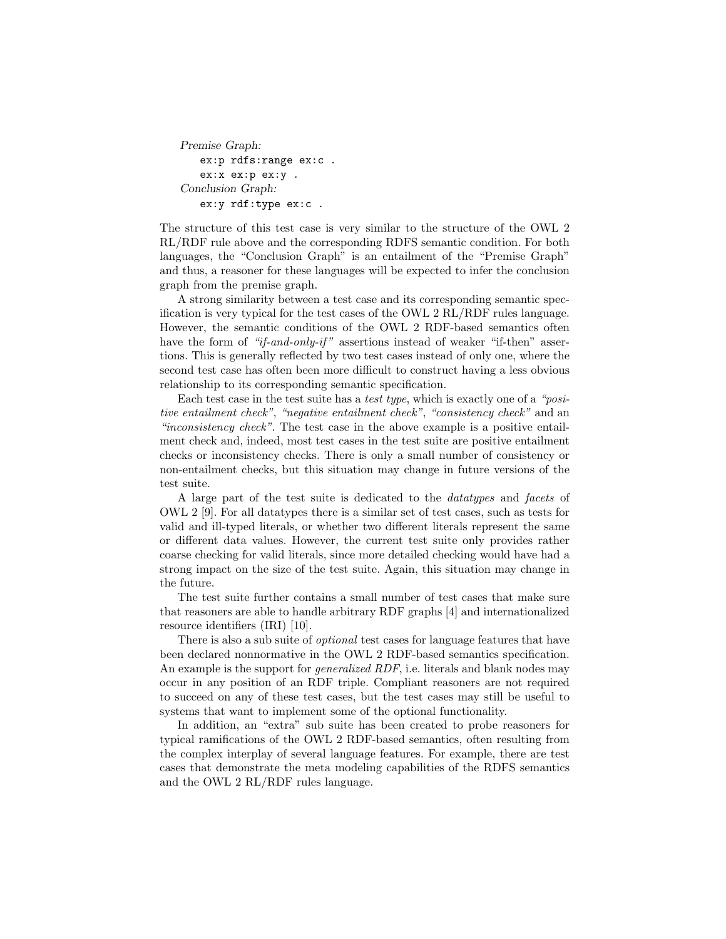```
Premise Graph:
   ex:p rdfs:range ex:c .
   ex:x ex:p ex:y .
Conclusion Graph:
   ex:y rdf:type ex:c .
```
The structure of this test case is very similar to the structure of the OWL 2 RL/RDF rule above and the corresponding RDFS semantic condition. For both languages, the "Conclusion Graph" is an entailment of the "Premise Graph" and thus, a reasoner for these languages will be expected to infer the conclusion graph from the premise graph.

A strong similarity between a test case and its corresponding semantic specification is very typical for the test cases of the OWL 2 RL/RDF rules language. However, the semantic conditions of the OWL 2 RDF-based semantics often have the form of "if-and-only-if" assertions instead of weaker "if-then" assertions. This is generally reflected by two test cases instead of only one, where the second test case has often been more difficult to construct having a less obvious relationship to its corresponding semantic specification.

Each test case in the test suite has a *test type*, which is exactly one of a *"positive entailment check"*, *"negative entailment check"*, *"consistency check"* and an *"inconsistency check"*. The test case in the above example is a positive entailment check and, indeed, most test cases in the test suite are positive entailment checks or inconsistency checks. There is only a small number of consistency or non-entailment checks, but this situation may change in future versions of the test suite.

A large part of the test suite is dedicated to the *datatypes* and *facets* of OWL 2 [9]. For all datatypes there is a similar set of test cases, such as tests for valid and ill-typed literals, or whether two different literals represent the same or different data values. However, the current test suite only provides rather coarse checking for valid literals, since more detailed checking would have had a strong impact on the size of the test suite. Again, this situation may change in the future.

The test suite further contains a small number of test cases that make sure that reasoners are able to handle arbitrary RDF graphs [4] and internationalized resource identifiers (IRI) [10].

There is also a sub suite of *optional* test cases for language features that have been declared nonnormative in the OWL 2 RDF-based semantics specification. An example is the support for *generalized RDF*, i.e. literals and blank nodes may occur in any position of an RDF triple. Compliant reasoners are not required to succeed on any of these test cases, but the test cases may still be useful to systems that want to implement some of the optional functionality.

In addition, an "extra" sub suite has been created to probe reasoners for typical ramifications of the OWL 2 RDF-based semantics, often resulting from the complex interplay of several language features. For example, there are test cases that demonstrate the meta modeling capabilities of the RDFS semantics and the OWL 2 RL/RDF rules language.